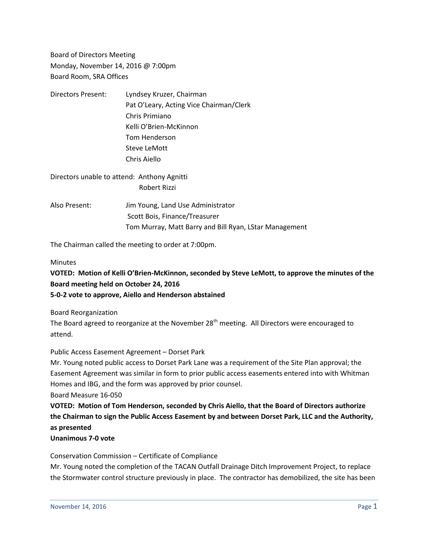Board of Directors Meeting Monday, November 14, 2016 @ 7:00pm Board Room, SRA Offices

| Directors Present: | Lyndsey Kruzer, Chairman                |
|--------------------|-----------------------------------------|
|                    | Pat O'Leary, Acting Vice Chairman/Clerk |
|                    | Chris Primiano                          |
|                    | Kelli O'Brien-McKinnon                  |
|                    | Tom Henderson                           |
|                    | Steve LeMott                            |
|                    | Chris Aiello                            |
|                    |                                         |

Directors unable to attend: Anthony Agnitti Robert Rizzi

Also Present: Jim Young, Land Use Administrator Scott Bois, Finance/Treasurer Tom Murray, Matt Barry and Bill Ryan, LStar Management

The Chairman called the meeting to order at 7:00pm.

## **Minutes**

# **VOTED: Motion of Kelli O'Brien-McKinnon, seconded by Steve LeMott, to approve the minutes of the Board meeting held on October 24, 2016**

## **5-0-2 vote to approve, Aiello and Henderson abstained**

Board Reorganization

The Board agreed to reorganize at the November  $28<sup>th</sup>$  meeting. All Directors were encouraged to attend.

## Public Access Easement Agreement – Dorset Park

Mr. Young noted public access to Dorset Park Lane was a requirement of the Site Plan approval; the Easement Agreement was similar in form to prior public access easements entered into with Whitman Homes and IBG, and the form was approved by prior counsel.

Board Measure 16-050

**VOTED: Motion of Tom Henderson, seconded by Chris Aiello, that the Board of Directors authorize the Chairman to sign the Public Access Easement by and between Dorset Park, LLC and the Authority, as presented**

## **Unanimous 7-0 vote**

Conservation Commission – Certificate of Compliance

Mr. Young noted the completion of the TACAN Outfall Drainage Ditch Improvement Project, to replace the Stormwater control structure previously in place. The contractor has demobilized, the site has been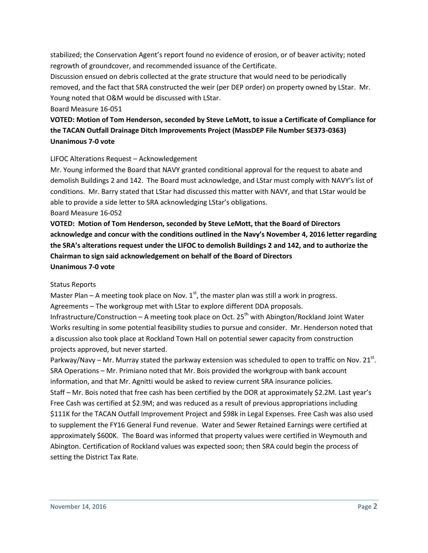stabilized; the Conservation Agent's report found no evidence of erosion, or of beaver activity; noted regrowth of groundcover, and recommended issuance of the Certificate.

Discussion ensued on debris collected at the grate structure that would need to be periodically removed, and the fact that SRA constructed the weir (per DEP order) on property owned by LStar. Mr. Young noted that O&M would be discussed with LStar.

#### Board Measure 16-051

## **VOTED: Motion of Tom Henderson, seconded by Steve LeMott, to issue a Certificate of Compliance for the TACAN Outfall Drainage Ditch Improvements Project (MassDEP File Number SE373-0363) Unanimous 7-0 vote**

#### LIFOC Alterations Request – Acknowledgement

Mr. Young informed the Board that NAVY granted conditional approval for the request to abate and demolish Buildings 2 and 142. The Board must acknowledge, and LStar must comply with NAVY's list of conditions. Mr. Barry stated that LStar had discussed this matter with NAVY, and that LStar would be able to provide a side letter to SRA acknowledging LStar's obligations. Board Measure 16-052

**VOTED: Motion of Tom Henderson, seconded by Steve LeMott, that the Board of Directors acknowledge and concur with the conditions outlined in the Navy's November 4, 2016 letter regarding the SRA's alterations request under the LIFOC to demolish Buildings 2 and 142, and to authorize the Chairman to sign said acknowledgement on behalf of the Board of Directors Unanimous 7-0 vote**

#### Status Reports

Master Plan – A meeting took place on Nov.  $1<sup>st</sup>$ , the master plan was still a work in progress. Agreements – The workgroup met with LStar to explore different DDA proposals. Infrastructure/Construction – A meeting took place on Oct. 25<sup>th</sup> with Abington/Rockland Joint Water Works resulting in some potential feasibility studies to pursue and consider. Mr. Henderson noted that a discussion also took place at Rockland Town Hall on potential sewer capacity from construction projects approved, but never started.

Parkway/Navy – Mr. Murray stated the parkway extension was scheduled to open to traffic on Nov. 21 $^{\rm st}$ . SRA Operations – Mr. Primiano noted that Mr. Bois provided the workgroup with bank account information, and that Mr. Agnitti would be asked to review current SRA insurance policies. Staff – Mr. Bois noted that free cash has been certified by the DOR at approximately \$2.2M. Last year's Free Cash was certified at \$2.9M; and was reduced as a result of previous appropriations including \$111K for the TACAN Outfall Improvement Project and \$98k in Legal Expenses. Free Cash was also used to supplement the FY16 General Fund revenue. Water and Sewer Retained Earnings were certified at approximately \$600K. The Board was informed that property values were certified in Weymouth and Abington. Certification of Rockland values was expected soon; then SRA could begin the process of setting the District Tax Rate.